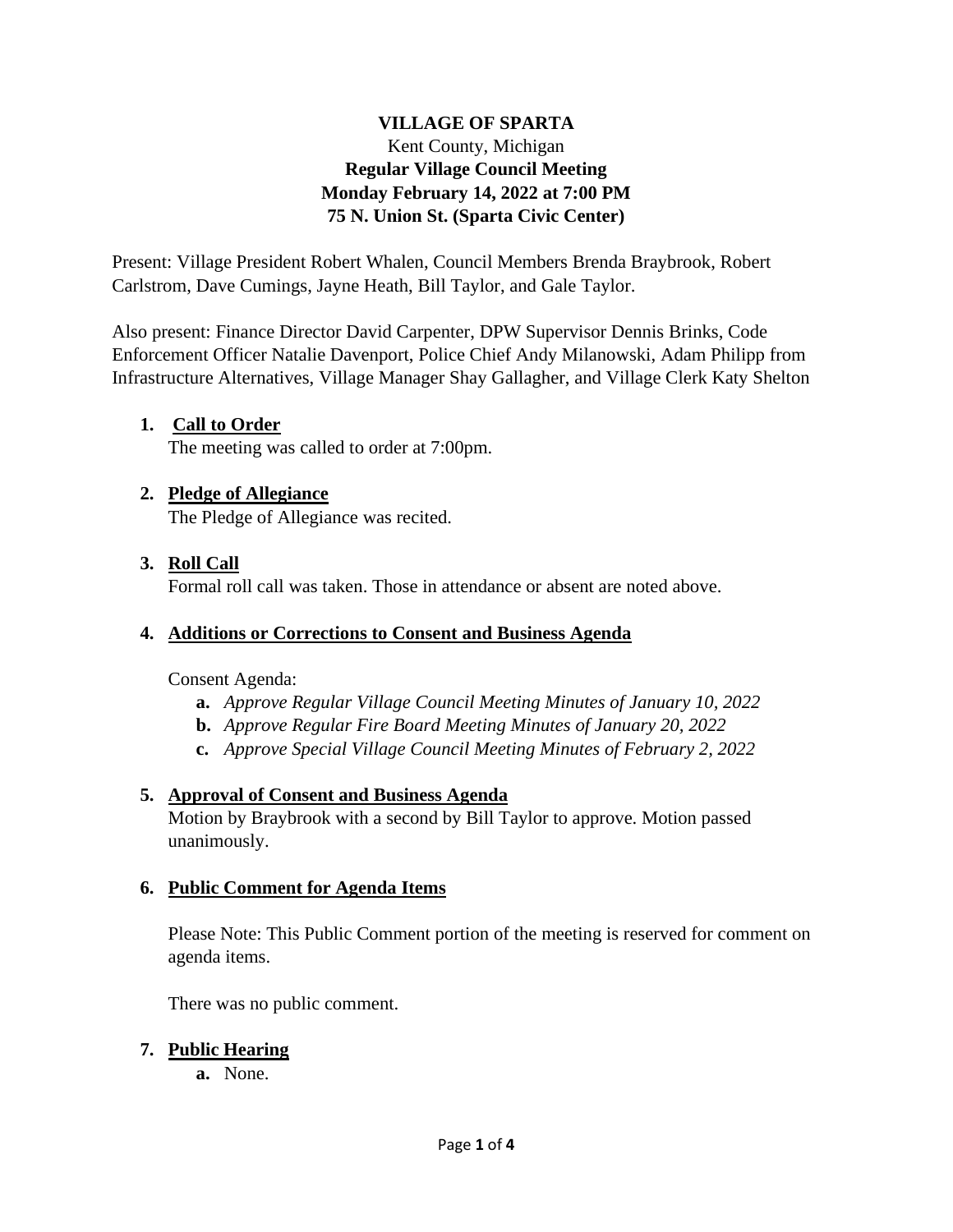# **VILLAGE OF SPARTA** Kent County, Michigan **Regular Village Council Meeting Monday February 14, 2022 at 7:00 PM 75 N. Union St. (Sparta Civic Center)**

Present: Village President Robert Whalen, Council Members Brenda Braybrook, Robert Carlstrom, Dave Cumings, Jayne Heath, Bill Taylor, and Gale Taylor.

Also present: Finance Director David Carpenter, DPW Supervisor Dennis Brinks, Code Enforcement Officer Natalie Davenport, Police Chief Andy Milanowski, Adam Philipp from Infrastructure Alternatives, Village Manager Shay Gallagher, and Village Clerk Katy Shelton

# **1. Call to Order**

The meeting was called to order at 7:00pm.

## **2. Pledge of Allegiance**

The Pledge of Allegiance was recited.

## **3. Roll Call**

Formal roll call was taken. Those in attendance or absent are noted above.

## **4. Additions or Corrections to Consent and Business Agenda**

Consent Agenda:

- **a.** *Approve Regular Village Council Meeting Minutes of January 10, 2022*
- **b.** *Approve Regular Fire Board Meeting Minutes of January 20, 2022*
- **c.** *Approve Special Village Council Meeting Minutes of February 2, 2022*

## **5. Approval of Consent and Business Agenda**

Motion by Braybrook with a second by Bill Taylor to approve. Motion passed unanimously.

#### **6. Public Comment for Agenda Items**

Please Note: This Public Comment portion of the meeting is reserved for comment on agenda items.

There was no public comment.

#### **7. Public Hearing**

**a.** None.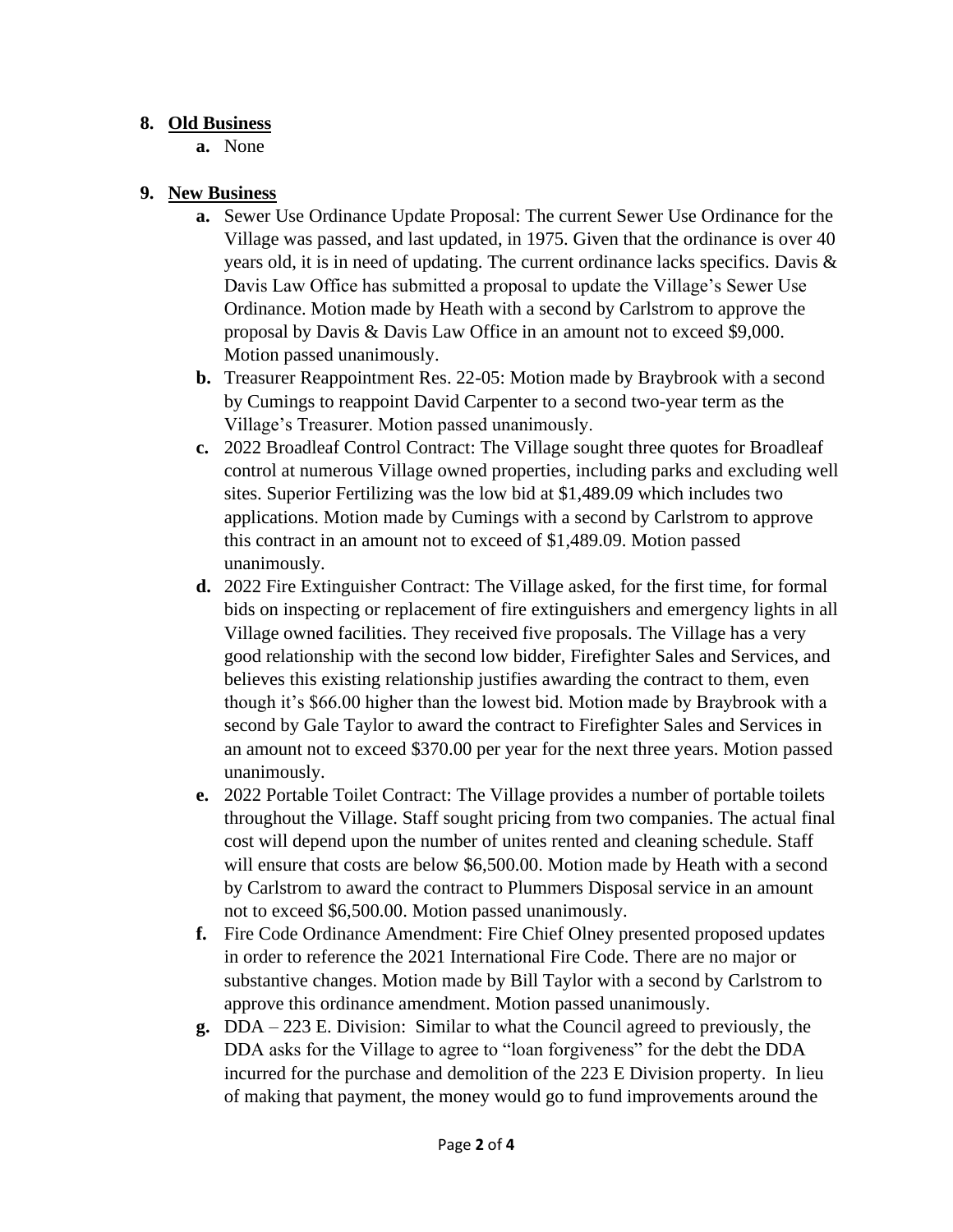## **8. Old Business**

**a.** None

# **9. New Business**

- **a.** Sewer Use Ordinance Update Proposal: The current Sewer Use Ordinance for the Village was passed, and last updated, in 1975. Given that the ordinance is over 40 years old, it is in need of updating. The current ordinance lacks specifics. Davis & Davis Law Office has submitted a proposal to update the Village's Sewer Use Ordinance. Motion made by Heath with a second by Carlstrom to approve the proposal by Davis & Davis Law Office in an amount not to exceed \$9,000. Motion passed unanimously.
- **b.** Treasurer Reappointment Res. 22-05: Motion made by Braybrook with a second by Cumings to reappoint David Carpenter to a second two-year term as the Village's Treasurer. Motion passed unanimously.
- **c.** 2022 Broadleaf Control Contract: The Village sought three quotes for Broadleaf control at numerous Village owned properties, including parks and excluding well sites. Superior Fertilizing was the low bid at \$1,489.09 which includes two applications. Motion made by Cumings with a second by Carlstrom to approve this contract in an amount not to exceed of \$1,489.09. Motion passed unanimously.
- **d.** 2022 Fire Extinguisher Contract: The Village asked, for the first time, for formal bids on inspecting or replacement of fire extinguishers and emergency lights in all Village owned facilities. They received five proposals. The Village has a very good relationship with the second low bidder, Firefighter Sales and Services, and believes this existing relationship justifies awarding the contract to them, even though it's \$66.00 higher than the lowest bid. Motion made by Braybrook with a second by Gale Taylor to award the contract to Firefighter Sales and Services in an amount not to exceed \$370.00 per year for the next three years. Motion passed unanimously.
- **e.** 2022 Portable Toilet Contract: The Village provides a number of portable toilets throughout the Village. Staff sought pricing from two companies. The actual final cost will depend upon the number of unites rented and cleaning schedule. Staff will ensure that costs are below \$6,500.00. Motion made by Heath with a second by Carlstrom to award the contract to Plummers Disposal service in an amount not to exceed \$6,500.00. Motion passed unanimously.
- **f.** Fire Code Ordinance Amendment: Fire Chief Olney presented proposed updates in order to reference the 2021 International Fire Code. There are no major or substantive changes. Motion made by Bill Taylor with a second by Carlstrom to approve this ordinance amendment. Motion passed unanimously.
- **g.** DDA 223 E. Division: Similar to what the Council agreed to previously, the DDA asks for the Village to agree to "loan forgiveness" for the debt the DDA incurred for the purchase and demolition of the 223 E Division property. In lieu of making that payment, the money would go to fund improvements around the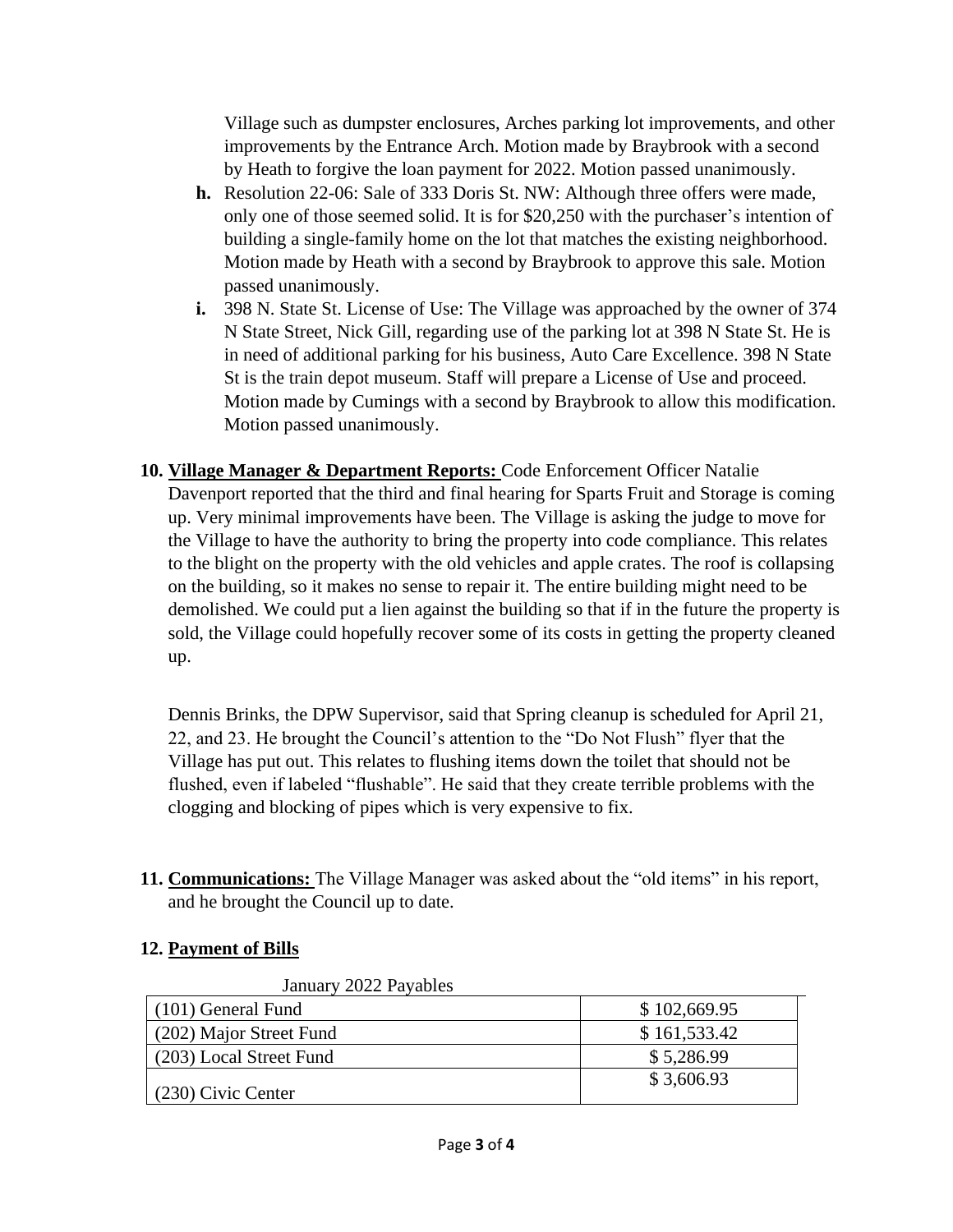Village such as dumpster enclosures, Arches parking lot improvements, and other improvements by the Entrance Arch. Motion made by Braybrook with a second by Heath to forgive the loan payment for 2022. Motion passed unanimously.

- **h.** Resolution 22-06: Sale of 333 Doris St. NW: Although three offers were made, only one of those seemed solid. It is for \$20,250 with the purchaser's intention of building a single-family home on the lot that matches the existing neighborhood. Motion made by Heath with a second by Braybrook to approve this sale. Motion passed unanimously.
- **i.** 398 N. State St. License of Use: The Village was approached by the owner of 374 N State Street, Nick Gill, regarding use of the parking lot at 398 N State St. He is in need of additional parking for his business, Auto Care Excellence. 398 N State St is the train depot museum. Staff will prepare a License of Use and proceed. Motion made by Cumings with a second by Braybrook to allow this modification. Motion passed unanimously.
- **10. Village Manager & Department Reports:** Code Enforcement Officer Natalie Davenport reported that the third and final hearing for Sparts Fruit and Storage is coming up. Very minimal improvements have been. The Village is asking the judge to move for the Village to have the authority to bring the property into code compliance. This relates to the blight on the property with the old vehicles and apple crates. The roof is collapsing on the building, so it makes no sense to repair it. The entire building might need to be demolished. We could put a lien against the building so that if in the future the property is sold, the Village could hopefully recover some of its costs in getting the property cleaned up.

Dennis Brinks, the DPW Supervisor, said that Spring cleanup is scheduled for April 21, 22, and 23. He brought the Council's attention to the "Do Not Flush" flyer that the Village has put out. This relates to flushing items down the toilet that should not be flushed, even if labeled "flushable". He said that they create terrible problems with the clogging and blocking of pipes which is very expensive to fix.

**11. Communications:** The Village Manager was asked about the "old items" in his report, and he brought the Council up to date.

## **12. Payment of Bills**

January 2022 Payables

| $(101)$ General Fund    | \$102,669.95 |
|-------------------------|--------------|
| (202) Major Street Fund | \$161,533.42 |
| (203) Local Street Fund | \$5,286.99   |
| $(230)$ Civic Center    | \$3,606.93   |